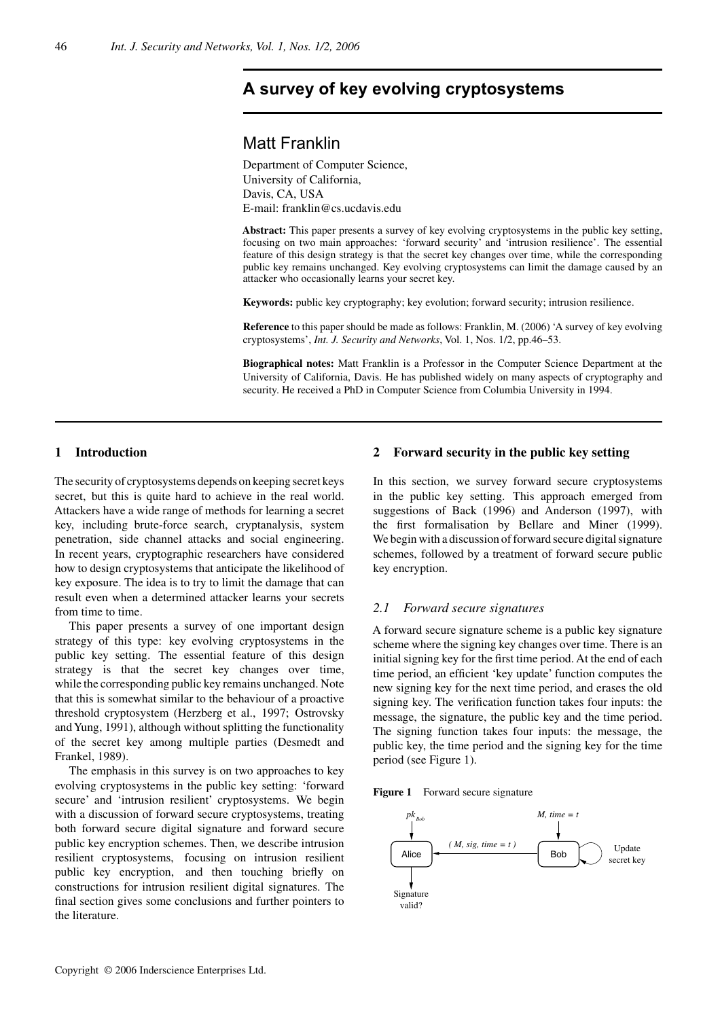# $\mathcal{A}$  survey of key evolving cryptosystems

## Matt Franklin

Department of Computer Science, University of California, Davis, CA, USA E-mail: franklin@cs.ucdavis.edu

**Abstract:** This paper presents a survey of key evolving cryptosystems in the public key setting, focusing on two main approaches: 'forward security' and 'intrusion resilience'. The essential feature of this design strategy is that the secret key changes over time, while the corresponding public key remains unchanged. Key evolving cryptosystems can limit the damage caused by an attacker who occasionally learns your secret key.

**Keywords:** public key cryptography; key evolution; forward security; intrusion resilience.

**Reference** to this paper should be made as follows: Franklin, M. (2006) 'A survey of key evolving cryptosystems', *Int. J. Security and Networks*, Vol. 1, Nos. 1/2, pp.46–53.

**Biographical notes:** Matt Franklin is a Professor in the Computer Science Department at the University of California, Davis. He has published widely on many aspects of cryptography and security. He received a PhD in Computer Science from Columbia University in 1994.

## **1 Introduction**

The security of cryptosystems depends on keeping secret keys secret, but this is quite hard to achieve in the real world. Attackers have a wide range of methods for learning a secret key, including brute-force search, cryptanalysis, system penetration, side channel attacks and social engineering. In recent years, cryptographic researchers have considered how to design cryptosystems that anticipate the likelihood of key exposure. The idea is to try to limit the damage that can result even when a determined attacker learns your secrets from time to time.

This paper presents a survey of one important design strategy of this type: key evolving cryptosystems in the public key setting. The essential feature of this design strategy is that the secret key changes over time, while the corresponding public key remains unchanged. Note that this is somewhat similar to the behaviour of a proactive threshold cryptosystem (Herzberg et al., 1997; Ostrovsky and Yung, 1991), although without splitting the functionality of the secret key among multiple parties (Desmedt and Frankel, 1989).

The emphasis in this survey is on two approaches to key evolving cryptosystems in the public key setting: 'forward secure' and 'intrusion resilient' cryptosystems. We begin with a discussion of forward secure cryptosystems, treating both forward secure digital signature and forward secure public key encryption schemes. Then, we describe intrusion resilient cryptosystems, focusing on intrusion resilient public key encryption, and then touching briefly on constructions for intrusion resilient digital signatures. The final section gives some conclusions and further pointers to the literature.

## **2 Forward security in the public key setting**

In this section, we survey forward secure cryptosystems in the public key setting. This approach emerged from suggestions of Back (1996) and Anderson (1997), with the first formalisation by Bellare and Miner (1999). We begin with a discussion of forward secure digital signature schemes, followed by a treatment of forward secure public key encryption.

#### *2.1 Forward secure signatures*

A forward secure signature scheme is a public key signature scheme where the signing key changes over time. There is an initial signing key for the first time period. At the end of each time period, an efficient 'key update' function computes the new signing key for the next time period, and erases the old signing key. The verification function takes four inputs: the message, the signature, the public key and the time period. The signing function takes four inputs: the message, the public key, the time period and the signing key for the time period (see Figure 1).



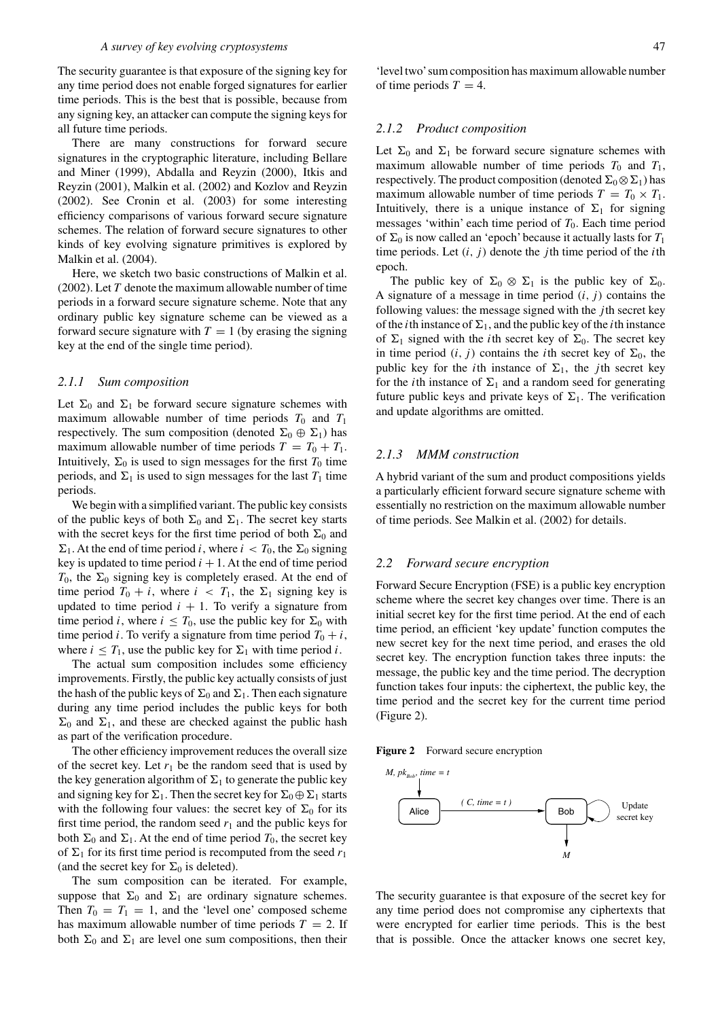The security guarantee is that exposure of the signing key for any time period does not enable forged signatures for earlier time periods. This is the best that is possible, because from any signing key, an attacker can compute the signing keys for all future time periods.

There are many constructions for forward secure signatures in the cryptographic literature, including Bellare and Miner (1999), Abdalla and Reyzin (2000), Itkis and Reyzin (2001), Malkin et al. (2002) and Kozlov and Reyzin (2002). See Cronin et al. (2003) for some interesting efficiency comparisons of various forward secure signature schemes. The relation of forward secure signatures to other kinds of key evolving signature primitives is explored by Malkin et al. (2004).

Here, we sketch two basic constructions of Malkin et al. (2002). Let  $T$  denote the maximum allowable number of time periods in a forward secure signature scheme. Note that any ordinary public key signature scheme can be viewed as a forward secure signature with  $T = 1$  (by erasing the signing key at the end of the single time period).

#### *2.1.1 Sum composition*

Let  $\Sigma_0$  and  $\Sigma_1$  be forward secure signature schemes with maximum allowable number of time periods  $T_0$  and  $T_1$ respectively. The sum composition (denoted  $\Sigma_0 \oplus \Sigma_1$ ) has maximum allowable number of time periods  $T = T_0 + T_1$ . Intuitively,  $\Sigma_0$  is used to sign messages for the first  $T_0$  time periods, and  $\Sigma_1$  is used to sign messages for the last  $T_1$  time periods.

We begin with a simplified variant. The public key consists of the public keys of both  $\Sigma_0$  and  $\Sigma_1$ . The secret key starts with the secret keys for the first time period of both  $\Sigma_0$  and  $\Sigma_1$ . At the end of time period *i*, where  $i < T_0$ , the  $\Sigma_0$  signing key is updated to time period  $i + 1$ . At the end of time period  $T_0$ , the  $\Sigma_0$  signing key is completely erased. At the end of time period  $T_0 + i$ , where  $i < T_1$ , the  $\Sigma_1$  signing key is updated to time period  $i + 1$ . To verify a signature from time period *i*, where  $i \leq T_0$ , use the public key for  $\Sigma_0$  with time period *i*. To verify a signature from time period  $T_0 + i$ , where  $i \leq T_1$ , use the public key for  $\Sigma_1$  with time period i.

The actual sum composition includes some efficiency improvements. Firstly, the public key actually consists of just the hash of the public keys of  $\Sigma_0$  and  $\Sigma_1$ . Then each signature during any time period includes the public keys for both  $\Sigma_0$  and  $\Sigma_1$ , and these are checked against the public hash as part of the verification procedure.

The other efficiency improvement reduces the overall size of the secret key. Let  $r_1$  be the random seed that is used by the key generation algorithm of  $\Sigma_1$  to generate the public key and signing key for  $\Sigma_1$ . Then the secret key for  $\Sigma_0 \oplus \Sigma_1$  starts with the following four values: the secret key of  $\Sigma_0$  for its first time period, the random seed  $r_1$  and the public keys for both  $\Sigma_0$  and  $\Sigma_1$ . At the end of time period  $T_0$ , the secret key of  $\Sigma_1$  for its first time period is recomputed from the seed  $r_1$ (and the secret key for  $\Sigma_0$  is deleted).

The sum composition can be iterated. For example, suppose that  $\Sigma_0$  and  $\Sigma_1$  are ordinary signature schemes. Then  $T_0 = T_1 = 1$ , and the 'level one' composed scheme has maximum allowable number of time periods  $T = 2$ . If both  $\Sigma_0$  and  $\Sigma_1$  are level one sum compositions, then their 'level two'sum composition has maximum allowable number of time periods  $T = 4$ .

#### *2.1.2 Product composition*

Let  $\Sigma_0$  and  $\Sigma_1$  be forward secure signature schemes with maximum allowable number of time periods  $T_0$  and  $T_1$ , respectively. The product composition (denoted  $\Sigma_0 \otimes \Sigma_1$ ) has maximum allowable number of time periods  $T = T_0 \times T_1$ . Intuitively, there is a unique instance of  $\Sigma_1$  for signing messages 'within' each time period of  $T_0$ . Each time period of  $\Sigma_0$  is now called an 'epoch' because it actually lasts for  $T_1$ time periods. Let  $(i, j)$  denote the jth time period of the *i*th epoch.

The public key of  $\Sigma_0 \otimes \Sigma_1$  is the public key of  $\Sigma_0$ . A signature of a message in time period  $(i, j)$  contains the following values: the message signed with the  $j$ th secret key of the *i*th instance of  $\Sigma_1$ , and the public key of the *i*th instance of  $\Sigma_1$  signed with the *i*th secret key of  $\Sigma_0$ . The secret key in time period  $(i, j)$  contains the *i*th secret key of  $\Sigma_0$ , the public key for the *i*th instance of  $\Sigma_1$ , the *j*th secret key for the *i*th instance of  $\Sigma_1$  and a random seed for generating future public keys and private keys of  $\Sigma_1$ . The verification and update algorithms are omitted.

#### *2.1.3 MMM construction*

A hybrid variant of the sum and product compositions yields a particularly efficient forward secure signature scheme with essentially no restriction on the maximum allowable number of time periods. See Malkin et al. (2002) for details.

#### *2.2 Forward secure encryption*

Forward Secure Encryption (FSE) is a public key encryption scheme where the secret key changes over time. There is an initial secret key for the first time period. At the end of each time period, an efficient 'key update' function computes the new secret key for the next time period, and erases the old secret key. The encryption function takes three inputs: the message, the public key and the time period. The decryption function takes four inputs: the ciphertext, the public key, the time period and the secret key for the current time period (Figure 2).

**Figure 2** Forward secure encryption



The security guarantee is that exposure of the secret key for any time period does not compromise any ciphertexts that were encrypted for earlier time periods. This is the best that is possible. Once the attacker knows one secret key,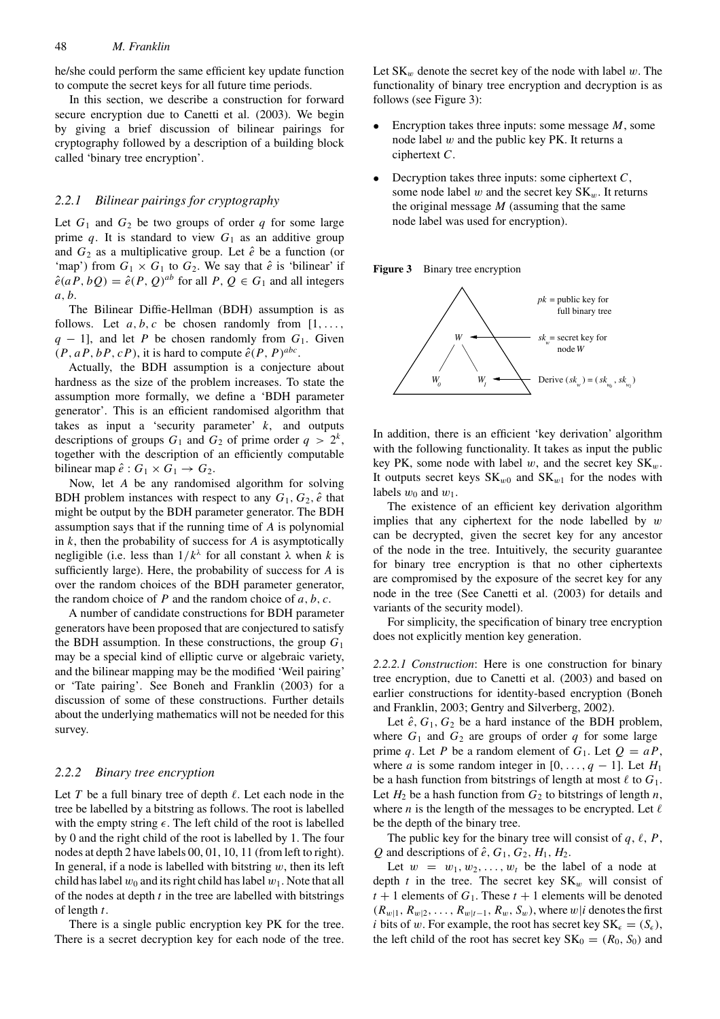#### 48 *M. Franklin*

he/she could perform the same efficient key update function to compute the secret keys for all future time periods.

In this section, we describe a construction for forward secure encryption due to Canetti et al. (2003). We begin by giving a brief discussion of bilinear pairings for cryptography followed by a description of a building block called 'binary tree encryption'.

#### *2.2.1 Bilinear pairings for cryptography*

Let  $G_1$  and  $G_2$  be two groups of order q for some large prime q. It is standard to view  $G_1$  as an additive group and  $G_2$  as a multiplicative group. Let  $\hat{e}$  be a function (or 'map') from  $G_1 \times G_1$  to  $G_2$ . We say that  $\hat{e}$  is 'bilinear' if  $\hat{e}(aP, bQ) = \hat{e}(P, Q)^{ab}$  for all  $P, Q \in G_1$  and all integers a, b.

The Bilinear Diffie-Hellman (BDH) assumption is as follows. Let  $a, b, c$  be chosen randomly from  $[1, \ldots,$  $q - 1$ , and let P be chosen randomly from  $G_1$ . Given  $(P, aP, bP, cP)$ , it is hard to compute  $\hat{e}(P, P)^{abc}$ .

Actually, the BDH assumption is a conjecture about hardness as the size of the problem increases. To state the assumption more formally, we define a 'BDH parameter generator'. This is an efficient randomised algorithm that takes as input a 'security parameter'  $k$ , and outputs descriptions of groups  $G_1$  and  $G_2$  of prime order  $q > 2^k$ , together with the description of an efficiently computable bilinear map  $\hat{e}: G_1 \times G_1 \rightarrow G_2$ .

Now, let A be any randomised algorithm for solving BDH problem instances with respect to any  $G_1, G_2, \hat{e}$  that might be output by the BDH parameter generator. The BDH assumption says that if the running time of A is polynomial in  $k$ , then the probability of success for  $A$  is asymptotically negligible (i.e. less than  $1/k^{\lambda}$  for all constant  $\lambda$  when k is sufficiently large). Here, the probability of success for A is over the random choices of the BDH parameter generator, the random choice of  $P$  and the random choice of  $a, b, c$ .

A number of candidate constructions for BDH parameter generators have been proposed that are conjectured to satisfy the BDH assumption. In these constructions, the group  $G_1$ may be a special kind of elliptic curve or algebraic variety, and the bilinear mapping may be the modified 'Weil pairing' or 'Tate pairing'. See Boneh and Franklin (2003) for a discussion of some of these constructions. Further details about the underlying mathematics will not be needed for this survey.

#### *2.2.2 Binary tree encryption*

Let T be a full binary tree of depth  $\ell$ . Let each node in the tree be labelled by a bitstring as follows. The root is labelled with the empty string  $\epsilon$ . The left child of the root is labelled by 0 and the right child of the root is labelled by 1. The four nodes at depth 2 have labels 00, 01, 10, 11 (from left to right). In general, if a node is labelled with bitstring  $w$ , then its left child has label  $w_0$  and its right child has label  $w_1$ . Note that all of the nodes at depth  $t$  in the tree are labelled with bitstrings of length t.

There is a single public encryption key PK for the tree. There is a secret decryption key for each node of the tree.

Let  $SK_w$  denote the secret key of the node with label w. The functionality of binary tree encryption and decryption is as follows (see Figure 3):

- Encryption takes three inputs: some message  $M$ , some node label  $w$  and the public key PK. It returns a ciphertext C.
- Decryption takes three inputs: some ciphertext  $C$ , some node label w and the secret key  $SK_w$ . It returns the original message  $M$  (assuming that the same node label was used for encryption).





In addition, there is an efficient 'key derivation' algorithm with the following functionality. It takes as input the public key PK, some node with label w, and the secret key  $SK_w$ . It outputs secret keys  $SK_{w0}$  and  $SK_{w1}$  for the nodes with labels  $w_0$  and  $w_1$ .

The existence of an efficient key derivation algorithm implies that any ciphertext for the node labelled by  $w$ can be decrypted, given the secret key for any ancestor of the node in the tree. Intuitively, the security guarantee for binary tree encryption is that no other ciphertexts are compromised by the exposure of the secret key for any node in the tree (See Canetti et al. (2003) for details and variants of the security model).

For simplicity, the specification of binary tree encryption does not explicitly mention key generation.

*2.2.2.1 Construction*: Here is one construction for binary tree encryption, due to Canetti et al. (2003) and based on earlier constructions for identity-based encryption (Boneh and Franklin, 2003; Gentry and Silverberg, 2002).

Let  $\hat{e}$ ,  $G_1$ ,  $G_2$  be a hard instance of the BDH problem, where  $G_1$  and  $G_2$  are groups of order q for some large prime q. Let P be a random element of  $G_1$ . Let  $Q = aP$ , where *a* is some random integer in [0,...,  $q - 1$ ]. Let  $H_1$ be a hash function from bitstrings of length at most  $\ell$  to  $G_1$ . Let  $H_2$  be a hash function from  $G_2$  to bitstrings of length n, where *n* is the length of the messages to be encrypted. Let  $\ell$ be the depth of the binary tree.

The public key for the binary tree will consist of q,  $\ell$ , P, Q and descriptions of  $\hat{e}$ ,  $G_1$ ,  $G_2$ ,  $H_1$ ,  $H_2$ .

Let  $w = w_1, w_2, \ldots, w_t$  be the label of a node at depth  $t$  in the tree. The secret key  $SK_w$  will consist of  $t + 1$  elements of  $G_1$ . These  $t + 1$  elements will be denoted  $(R_{w|1}, R_{w|2}, \ldots, R_{w|t-1}, R_w, S_w)$ , where  $w|i$  denotes the first *i* bits of w. For example, the root has secret key  $SK_{\epsilon} = (S_{\epsilon})$ , the left child of the root has secret key  $SK_0 = (R_0, S_0)$  and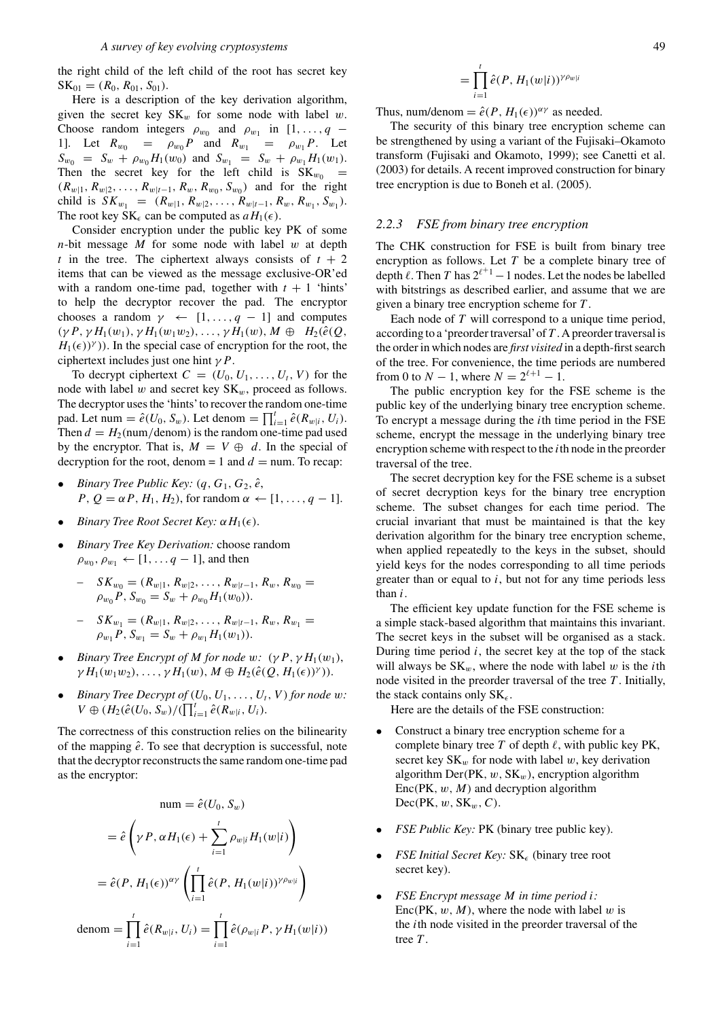the right child of the left child of the root has secret key  $SK_{01} = (R_0, R_{01}, S_{01}).$ 

Here is a description of the key derivation algorithm, given the secret key  $SK_w$  for some node with label w. Choose random integers  $\rho_{w_0}$  and  $\rho_{w_1}$  in [1,..., q – 1]. Let  $R_{w_0} = \rho_{w_0} P$  and  $R_{w_1} = \rho_{w_1} P$ . Let  $S_{w_0} = S_w + \rho_{w_0} H_1(w_0)$  and  $S_{w_1} = S_w + \rho_{w_1} H_1(w_1)$ . Then the secret key for the left child is  $SK_{w_0}$  =  $(R_{w|1}, R_{w|2}, \ldots, R_{w|t-1}, R_w, R_{w_0}, S_{w_0})$  and for the right child is  $SK_{w_1} = (R_{w|1}, R_{w|2}, \ldots, R_{w|t-1}, R_w, R_{w_1}, S_{w_1}).$ The root key SK<sub> $\epsilon$ </sub> can be computed as  $aH_1(\epsilon)$ .

Consider encryption under the public key PK of some  $n$ -bit message M for some node with label w at depth t in the tree. The ciphertext always consists of  $t + 2$ items that can be viewed as the message exclusive-OR'ed with a random one-time pad, together with  $t + 1$  'hints' to help the decryptor recover the pad. The encryptor chooses a random  $\gamma \leftarrow [1, \ldots, q - 1]$  and computes  $(\gamma P, \gamma H_1(w_1), \gamma H_1(w_1w_2), \ldots, \gamma H_1(w), M \oplus H_2(\hat{e}(Q),$  $H_1(\epsilon)$  $\gamma$ )). In the special case of encryption for the root, the ciphertext includes just one hint  $\gamma P$ .

To decrypt ciphertext  $C = (U_0, U_1, \ldots, U_t, V)$  for the node with label  $w$  and secret key  $SK_w$ , proceed as follows. The decryptor uses the 'hints'to recover the random one-time pad. Let num =  $\hat{e}(U_0, S_w)$ . Let denom =  $\prod_{i=1}^t \hat{e}(R_{w|i}, U_i)$ . Then  $d = H_2$ (num/denom) is the random one-time pad used by the encryptor. That is,  $M = V \oplus d$ . In the special of decryption for the root, denom = 1 and  $d =$  num. To recap:

- *Binary Tree Public Key:*  $(q, G_1, G_2, \hat{e},$  $P, Q = \alpha P, H_1, H_2$ , for random  $\alpha \leftarrow [1, \ldots, q-1]$ .
- *Binary Tree Root Secret Key:*  $\alpha H_1(\epsilon)$ .
- *Binary Tree Key Derivation:* choose random  $\rho_{w_0}, \rho_{w_1} \leftarrow [1, \ldots q-1]$ , and then
	- $S_{\mathbf{W}_0} = (R_{w|1}, R_{w|2}, \ldots, R_{w|t-1}, R_w, R_{w_0})$  $\rho_{w_0}P, S_{w_0}=S_w+\rho_{w_0}H_1(w_0)).$
	- $-SK_{w_1} = (R_{w|1}, R_{w|2}, \ldots, R_{w|t-1}, R_w, R_{w_1})$  $\rho_{w_1}P$ ,  $S_{w_1} = S_w + \rho_{w_1}H_1(w_1)$ .
- *Binary Tree Encrypt of M for node* w:  $(\gamma P, \gamma H_1(w_1))$ ,  $\gamma H_1(w_1w_2), \ldots, \gamma H_1(w), M \oplus H_2(\hat{e}(Q, H_1(\epsilon))^{\gamma})).$
- *Binary Tree Decrypt of*  $(U_0, U_1, \ldots, U_t, V)$  *for node w:*  $V \oplus (H_2(\hat{e}(U_0, S_w)/(\prod_{i=1}^t \hat{e}(R_{w|i}, U_i)).$

The correctness of this construction relies on the bilinearity of the mapping  $\hat{e}$ . To see that decryption is successful, note that the decryptor reconstructs the same random one-time pad as the encryptor:

num = 
$$
\hat{e}(U_0, S_w)
$$
  
\n=  $\hat{e} \left( \gamma P, \alpha H_1(\epsilon) + \sum_{i=1}^t \rho_{w|i} H_1(w|i) \right)$   
\n=  $\hat{e}(P, H_1(\epsilon))^{\alpha \gamma} \left( \prod_{i=1}^t \hat{e}(P, H_1(w|i))^{\gamma \rho_{w|i}} \right)$   
\ndenom =  $\prod_{i=1}^t \hat{e}(R_{w|i}, U_i) = \prod_{i=1}^t \hat{e}(\rho_{w|i} P, \gamma H_1(w|i))$ 

$$
=\prod_{i=1}^t \hat{e}(P,H_1(w|i))^{\gamma \rho_{w|i}}
$$

Thus, num/denom =  $\hat{e}(P, H_1(\epsilon))^{\alpha \gamma}$  as needed.

The security of this binary tree encryption scheme can be strengthened by using a variant of the Fujisaki–Okamoto transform (Fujisaki and Okamoto, 1999); see Canetti et al. (2003) for details. A recent improved construction for binary tree encryption is due to Boneh et al. (2005).

#### *2.2.3 FSE from binary tree encryption*

The CHK construction for FSE is built from binary tree encryption as follows. Let  $T$  be a complete binary tree of depth  $\ell$ . Then T has  $2^{\ell+1} - 1$  nodes. Let the nodes be labelled with bitstrings as described earlier, and assume that we are given a binary tree encryption scheme for T .

Each node of  $T$  will correspond to a unique time period, according to a 'preorder traversal'of T . A preorder traversal is the order in which nodes are *first visited* in a depth-first search of the tree. For convenience, the time periods are numbered from 0 to  $N - 1$ , where  $N = 2^{\ell+1} - 1$ .

The public encryption key for the FSE scheme is the public key of the underlying binary tree encryption scheme. To encrypt a message during the ith time period in the FSE scheme, encrypt the message in the underlying binary tree encryption scheme with respect to the  $i$ th node in the preorder traversal of the tree.

The secret decryption key for the FSE scheme is a subset of secret decryption keys for the binary tree encryption scheme. The subset changes for each time period. The crucial invariant that must be maintained is that the key derivation algorithm for the binary tree encryption scheme, when applied repeatedly to the keys in the subset, should yield keys for the nodes corresponding to all time periods greater than or equal to  $i$ , but not for any time periods less than i.

The efficient key update function for the FSE scheme is a simple stack-based algorithm that maintains this invariant. The secret keys in the subset will be organised as a stack. During time period  $i$ , the secret key at the top of the stack will always be  $SK_w$ , where the node with label w is the *i*th node visited in the preorder traversal of the tree  $T$ . Initially, the stack contains only  $SK_{\epsilon}$ .

Here are the details of the FSE construction:

- Construct a binary tree encryption scheme for a complete binary tree  $T$  of depth  $\ell$ , with public key PK, secret key  $SK_w$  for node with label w, key derivation algorithm Der(PK,  $w$ , SK<sub>w</sub>), encryption algorithm  $Enc(PK, w, M)$  and decryption algorithm  $Dec(PK, w, SK_w, C).$
- *FSE Public Key:* PK (binary tree public key).
- *FSE Initial Secret Key:*  $SK_{\epsilon}$  (binary tree root secret key).
- *FSE Encrypt message* M *in time period* i*:* Enc(PK,  $w, M$ ), where the node with label w is the ith node visited in the preorder traversal of the tree T.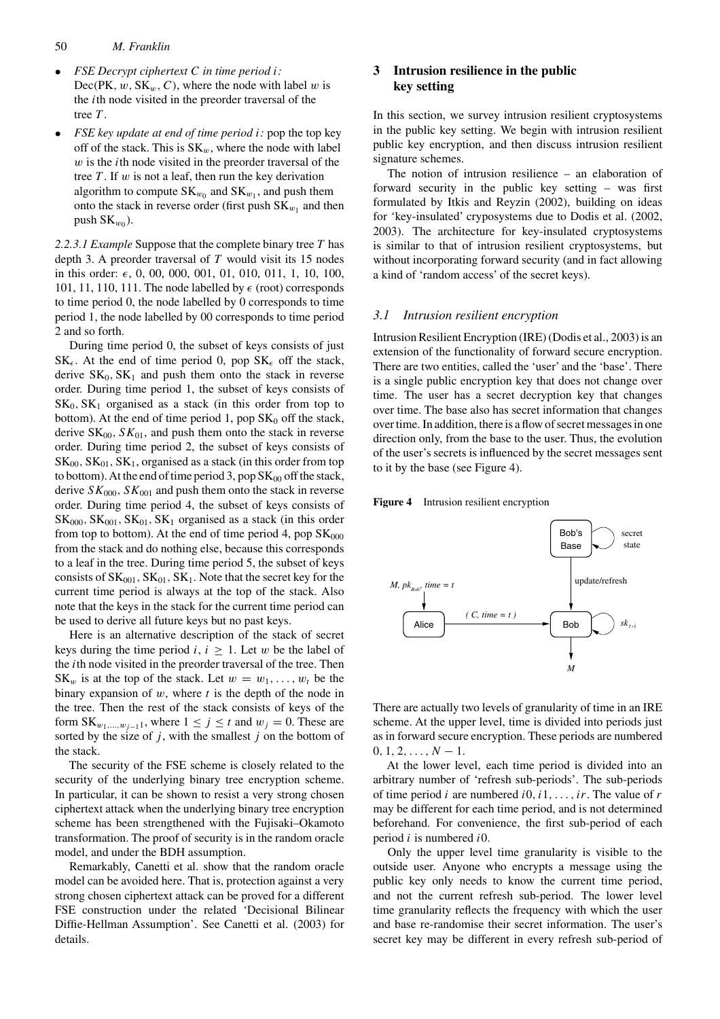#### 50 *M. Franklin*

- *FSE Decrypt ciphertext* C *in time period* i*:*  $Dec(PK, w, SK_w, C)$ , where the node with label w is the ith node visited in the preorder traversal of the tree T.
- *FSE key update at end of time period* i*:* pop the top key off of the stack. This is  $SK_w$ , where the node with label  $w$  is the *i*th node visited in the preorder traversal of the tree  $T$ . If  $w$  is not a leaf, then run the key derivation algorithm to compute  $SK_{w_0}$  and  $SK_{w_1}$ , and push them onto the stack in reverse order (first push  $SK_{w_1}$  and then push  $SK_{w_0}$ ).

*2.2.3.1 Example* Suppose that the complete binary tree T has depth 3. A preorder traversal of  $T$  would visit its 15 nodes in this order: , 0, 00, 000, 001, 01, 010, 011, 1, 10, 100, 101, 11, 110, 111. The node labelled by  $\epsilon$  (root) corresponds to time period 0, the node labelled by 0 corresponds to time period 1, the node labelled by 00 corresponds to time period 2 and so forth.

During time period 0, the subset of keys consists of just  $SK_{\epsilon}$ . At the end of time period 0, pop  $SK_{\epsilon}$  off the stack, derive  $SK_0, SK_1$  and push them onto the stack in reverse order. During time period 1, the subset of keys consists of  $SK_0, SK_1$  organised as a stack (in this order from top to bottom). At the end of time period 1, pop  $SK_0$  off the stack, derive  $SK<sub>00</sub>, SK<sub>01</sub>$ , and push them onto the stack in reverse order. During time period 2, the subset of keys consists of  $SK<sub>00</sub>, SK<sub>01</sub>, SK<sub>1</sub>$ , organised as a stack (in this order from top to bottom). At the end of time period 3, pop  $SK<sub>00</sub>$  off the stack, derive  $SK<sub>000</sub>, SK<sub>001</sub>$  and push them onto the stack in reverse order. During time period 4, the subset of keys consists of  $SK<sub>000</sub>, SK<sub>001</sub>, SK<sub>01</sub>, SK<sub>1</sub>$  organised as a stack (in this order from top to bottom). At the end of time period 4, pop  $SK<sub>000</sub>$ from the stack and do nothing else, because this corresponds to a leaf in the tree. During time period 5, the subset of keys consists of  $SK<sub>001</sub>, SK<sub>01</sub>, SK<sub>1</sub>$ . Note that the secret key for the current time period is always at the top of the stack. Also note that the keys in the stack for the current time period can be used to derive all future keys but no past keys.

Here is an alternative description of the stack of secret keys during the time period  $i, i \geq 1$ . Let w be the label of the ith node visited in the preorder traversal of the tree. Then  $SK_w$  is at the top of the stack. Let  $w = w_1, \ldots, w_t$  be the binary expansion of  $w$ , where  $t$  is the depth of the node in the tree. Then the rest of the stack consists of keys of the form  $SK_{w_1,...,w_{j-1}1}$ , where  $1 \le j \le t$  and  $w_j = 0$ . These are sorted by the size of  $j$ , with the smallest  $j$  on the bottom of the stack.

The security of the FSE scheme is closely related to the security of the underlying binary tree encryption scheme. In particular, it can be shown to resist a very strong chosen ciphertext attack when the underlying binary tree encryption scheme has been strengthened with the Fujisaki–Okamoto transformation. The proof of security is in the random oracle model, and under the BDH assumption.

Remarkably, Canetti et al. show that the random oracle model can be avoided here. That is, protection against a very strong chosen ciphertext attack can be proved for a different FSE construction under the related 'Decisional Bilinear Diffie-Hellman Assumption'. See Canetti et al. (2003) for details.

## **3 Intrusion resilience in the public key setting**

In this section, we survey intrusion resilient cryptosystems in the public key setting. We begin with intrusion resilient public key encryption, and then discuss intrusion resilient signature schemes.

The notion of intrusion resilience – an elaboration of forward security in the public key setting – was first formulated by Itkis and Reyzin (2002), building on ideas for 'key-insulated' cryposystems due to Dodis et al. (2002, 2003). The architecture for key-insulated cryptosystems is similar to that of intrusion resilient cryptosystems, but without incorporating forward security (and in fact allowing a kind of 'random access' of the secret keys).

#### *3.1 Intrusion resilient encryption*

Intrusion Resilient Encryption (IRE) (Dodis et al., 2003) is an extension of the functionality of forward secure encryption. There are two entities, called the 'user' and the 'base'. There is a single public encryption key that does not change over time. The user has a secret decryption key that changes over time. The base also has secret information that changes over time. In addition, there is a flow of secret messages in one direction only, from the base to the user. Thus, the evolution of the user's secrets is influenced by the secret messages sent to it by the base (see Figure 4).





There are actually two levels of granularity of time in an IRE scheme. At the upper level, time is divided into periods just as in forward secure encryption. These periods are numbered  $0, 1, 2, \ldots, N - 1.$ 

At the lower level, each time period is divided into an arbitrary number of 'refresh sub-periods'. The sub-periods of time period *i* are numbered  $i0$ ,  $i1$ , ...,  $ir$ . The value of r may be different for each time period, and is not determined beforehand. For convenience, the first sub-period of each period  $i$  is numbered  $i0$ .

Only the upper level time granularity is visible to the outside user. Anyone who encrypts a message using the public key only needs to know the current time period, and not the current refresh sub-period. The lower level time granularity reflects the frequency with which the user and base re-randomise their secret information. The user's secret key may be different in every refresh sub-period of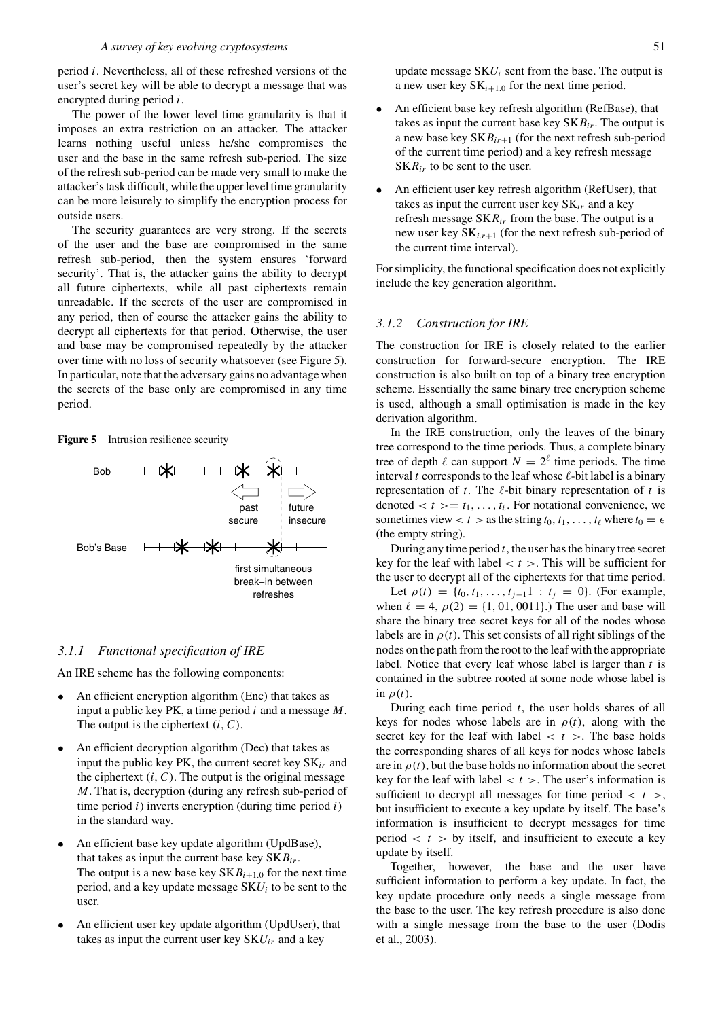period i. Nevertheless, all of these refreshed versions of the user's secret key will be able to decrypt a message that was encrypted during period i.

The power of the lower level time granularity is that it imposes an extra restriction on an attacker. The attacker learns nothing useful unless he/she compromises the user and the base in the same refresh sub-period. The size of the refresh sub-period can be made very small to make the attacker's task difficult, while the upper level time granularity can be more leisurely to simplify the encryption process for outside users.

The security guarantees are very strong. If the secrets of the user and the base are compromised in the same refresh sub-period, then the system ensures 'forward security'. That is, the attacker gains the ability to decrypt all future ciphertexts, while all past ciphertexts remain unreadable. If the secrets of the user are compromised in any period, then of course the attacker gains the ability to decrypt all ciphertexts for that period. Otherwise, the user and base may be compromised repeatedly by the attacker over time with no loss of security whatsoever (see Figure 5). In particular, note that the adversary gains no advantage when the secrets of the base only are compromised in any time period.

#### **Figure 5** Intrusion resilience security



#### *3.1.1 Functional specification of IRE*

An IRE scheme has the following components:

- An efficient encryption algorithm (Enc) that takes as input a public key PK, a time period  $i$  and a message  $M$ . The output is the ciphertext  $(i, C)$ .
- An efficient decryption algorithm (Dec) that takes as input the public key PK, the current secret key  $SK_{ir}$  and the ciphertext  $(i, C)$ . The output is the original message M. That is, decryption (during any refresh sub-period of time period  $i$ ) inverts encryption (during time period  $i$ ) in the standard way.
- An efficient base key update algorithm (UpdBase), that takes as input the current base key  $SKB_{ir}$ . The output is a new base key  $SKB_{i+1,0}$  for the next time period, and a key update message  $SKU_i$  to be sent to the user.
- An efficient user key update algorithm (UpdUser), that takes as input the current user key  $SKU_{ir}$  and a key

update message  $SKU_i$  sent from the base. The output is a new user key  $SK_{i+1,0}$  for the next time period.

- An efficient base key refresh algorithm (RefBase), that takes as input the current base key  $SKB<sub>ir</sub>$ . The output is a new base key  $SKB<sub>ir+1</sub>$  (for the next refresh sub-period of the current time period) and a key refresh message  $SKR<sub>ir</sub>$  to be sent to the user.
- An efficient user key refresh algorithm (RefUser), that takes as input the current user key  $SK_{ir}$  and a key refresh message  $SKR_{ir}$  from the base. The output is a new user key  $SK_{i,r+1}$  (for the next refresh sub-period of the current time interval).

For simplicity, the functional specification does not explicitly include the key generation algorithm.

## *3.1.2 Construction for IRE*

The construction for IRE is closely related to the earlier construction for forward-secure encryption. The IRE construction is also built on top of a binary tree encryption scheme. Essentially the same binary tree encryption scheme is used, although a small optimisation is made in the key derivation algorithm.

In the IRE construction, only the leaves of the binary tree correspond to the time periods. Thus, a complete binary tree of depth  $\ell$  can support  $N = 2^{\ell}$  time periods. The time interval t corresponds to the leaf whose  $\ell$ -bit label is a binary representation of  $t$ . The  $\ell$ -bit binary representation of  $t$  is denoted  $\langle t \rangle = t_1, \ldots, t_\ell$ . For notational convenience, we sometimes view  $t > t$  as the string  $t_0, t_1, \ldots, t_\ell$  where  $t_0 = \epsilon$ (the empty string).

During any time period  $t$ , the user has the binary tree secret key for the leaf with label  $< t >$ . This will be sufficient for the user to decrypt all of the ciphertexts for that time period.

Let  $\rho(t) = \{t_0, t_1, \ldots, t_{j-1}1 : t_j = 0\}$ . (For example, when  $\ell = 4$ ,  $\rho(2) = \{1, 01, 0011\}$ .) The user and base will share the binary tree secret keys for all of the nodes whose labels are in  $\rho(t)$ . This set consists of all right siblings of the nodes on the path from the root to the leaf with the appropriate label. Notice that every leaf whose label is larger than  $t$  is contained in the subtree rooted at some node whose label is in  $\rho(t)$ .

During each time period  $t$ , the user holds shares of all keys for nodes whose labels are in  $\rho(t)$ , along with the secret key for the leaf with label  $< t >$ . The base holds the corresponding shares of all keys for nodes whose labels are in  $\rho(t)$ , but the base holds no information about the secret key for the leaf with label  $< t >$ . The user's information is sufficient to decrypt all messages for time period  $\langle t \rangle$ , but insufficient to execute a key update by itself. The base's information is insufficient to decrypt messages for time period  $< t >$  by itself, and insufficient to execute a key update by itself.

Together, however, the base and the user have sufficient information to perform a key update. In fact, the key update procedure only needs a single message from the base to the user. The key refresh procedure is also done with a single message from the base to the user (Dodis et al., 2003).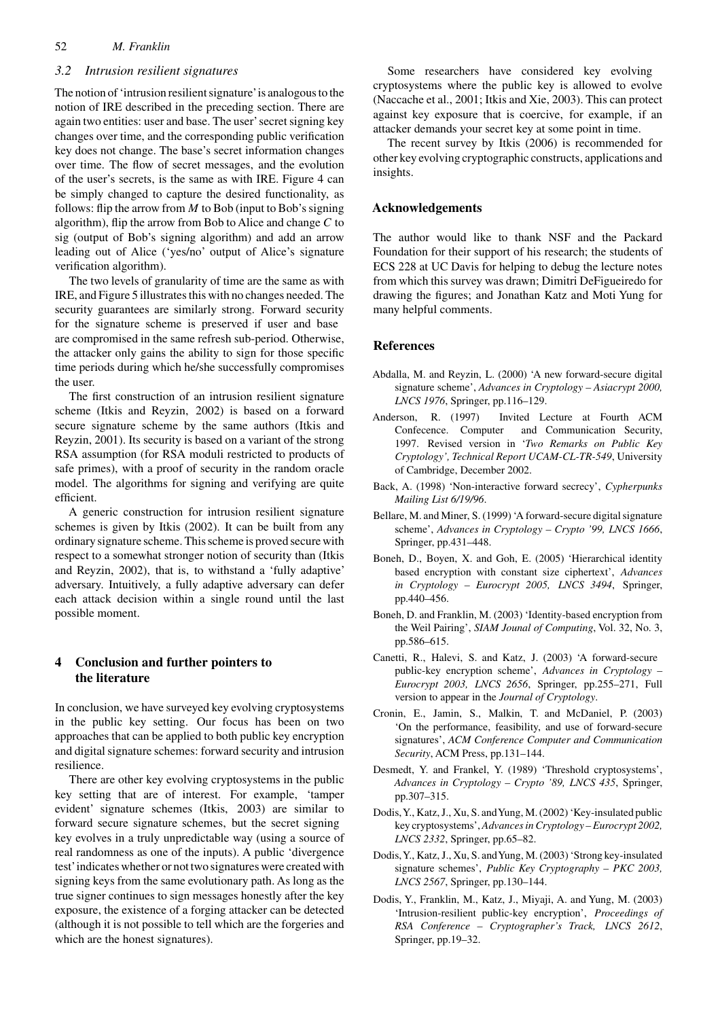## 52 *M. Franklin*

#### *3.2 Intrusion resilient signatures*

The notion of 'intrusion resilient signature'is analogous to the notion of IRE described in the preceding section. There are again two entities: user and base. The user'secret signing key changes over time, and the corresponding public verification key does not change. The base's secret information changes over time. The flow of secret messages, and the evolution of the user's secrets, is the same as with IRE. Figure 4 can be simply changed to capture the desired functionality, as follows: flip the arrow from  $M$  to Bob (input to Bob's signing algorithm), flip the arrow from Bob to Alice and change  $C$  to sig (output of Bob's signing algorithm) and add an arrow leading out of Alice ('yes/no' output of Alice's signature verification algorithm).

The two levels of granularity of time are the same as with IRE, and Figure 5 illustrates this with no changes needed. The security guarantees are similarly strong. Forward security for the signature scheme is preserved if user and base are compromised in the same refresh sub-period. Otherwise, the attacker only gains the ability to sign for those specific time periods during which he/she successfully compromises the user.

The first construction of an intrusion resilient signature scheme (Itkis and Reyzin, 2002) is based on a forward secure signature scheme by the same authors (Itkis and Reyzin, 2001). Its security is based on a variant of the strong RSA assumption (for RSA moduli restricted to products of safe primes), with a proof of security in the random oracle model. The algorithms for signing and verifying are quite efficient.

A generic construction for intrusion resilient signature schemes is given by Itkis (2002). It can be built from any ordinary signature scheme. This scheme is proved secure with respect to a somewhat stronger notion of security than (Itkis and Reyzin, 2002), that is, to withstand a 'fully adaptive' adversary. Intuitively, a fully adaptive adversary can defer each attack decision within a single round until the last possible moment.

## **4 Conclusion and further pointers to the literature**

In conclusion, we have surveyed key evolving cryptosystems in the public key setting. Our focus has been on two approaches that can be applied to both public key encryption and digital signature schemes: forward security and intrusion resilience.

There are other key evolving cryptosystems in the public key setting that are of interest. For example, 'tamper evident' signature schemes (Itkis, 2003) are similar to forward secure signature schemes, but the secret signing key evolves in a truly unpredictable way (using a source of real randomness as one of the inputs). A public 'divergence test'indicates whether or not two signatures were created with signing keys from the same evolutionary path. As long as the true signer continues to sign messages honestly after the key exposure, the existence of a forging attacker can be detected (although it is not possible to tell which are the forgeries and which are the honest signatures).

Some researchers have considered key evolving cryptosystems where the public key is allowed to evolve (Naccache et al., 2001; Itkis and Xie, 2003). This can protect against key exposure that is coercive, for example, if an attacker demands your secret key at some point in time.

The recent survey by Itkis (2006) is recommended for other key evolving cryptographic constructs, applications and insights.

## **Acknowledgements**

The author would like to thank NSF and the Packard Foundation for their support of his research; the students of ECS 228 at UC Davis for helping to debug the lecture notes from which this survey was drawn; Dimitri DeFigueiredo for drawing the figures; and Jonathan Katz and Moti Yung for many helpful comments.

#### **References**

- Abdalla, M. and Reyzin, L. (2000) 'A new forward-secure digital signature scheme', *Advances in Cryptology – Asiacrypt 2000, LNCS 1976*, Springer, pp.116–129.
- Anderson, R. (1997) Invited Lecture at Fourth ACM Confecence. Computer and Communication Security, 1997. Revised version in '*Two Remarks on Public Key Cryptology', Technical Report UCAM-CL-TR-549*, University of Cambridge, December 2002.
- Back, A. (1998) 'Non-interactive forward secrecy', *Cypherpunks Mailing List 6/19/96*.
- Bellare, M. and Miner, S. (1999) 'A forward-secure digital signature scheme', *Advances in Cryptology – Crypto '99, LNCS 1666*, Springer, pp.431–448.
- Boneh, D., Boyen, X. and Goh, E. (2005) 'Hierarchical identity based encryption with constant size ciphertext', *Advances in Cryptology – Eurocrypt 2005, LNCS 3494*, Springer, pp.440–456.
- Boneh, D. and Franklin, M. (2003) 'Identity-based encryption from the Weil Pairing', *SIAM Jounal of Computing*, Vol. 32, No. 3, pp.586–615.
- Canetti, R., Halevi, S. and Katz, J. (2003) 'A forward-secure public-key encryption scheme', *Advances in Cryptology – Eurocrypt 2003, LNCS 2656*, Springer, pp.255–271, Full version to appear in the *Journal of Cryptology*.
- Cronin, E., Jamin, S., Malkin, T. and McDaniel, P. (2003) 'On the performance, feasibility, and use of forward-secure signatures', *ACM Conference Computer and Communication Security*, ACM Press, pp.131–144.
- Desmedt, Y. and Frankel, Y. (1989) 'Threshold cryptosystems', *Advances in Cryptology – Crypto '89, LNCS 435*, Springer, pp.307–315.
- Dodis,Y., Katz, J., Xu, S. andYung, M. (2002) 'Key-insulated public key cryptosystems', *Advances in Cryptology – Eurocrypt 2002, LNCS 2332*, Springer, pp.65–82.
- Dodis,Y., Katz, J., Xu, S. andYung, M. (2003) 'Strong key-insulated signature schemes', *Public Key Cryptography – PKC 2003, LNCS 2567*, Springer, pp.130–144.
- Dodis, Y., Franklin, M., Katz, J., Miyaji, A. and Yung, M. (2003) 'Intrusion-resilient public-key encryption', *Proceedings of RSA Conference – Cryptographer's Track, LNCS 2612*, Springer, pp.19–32.